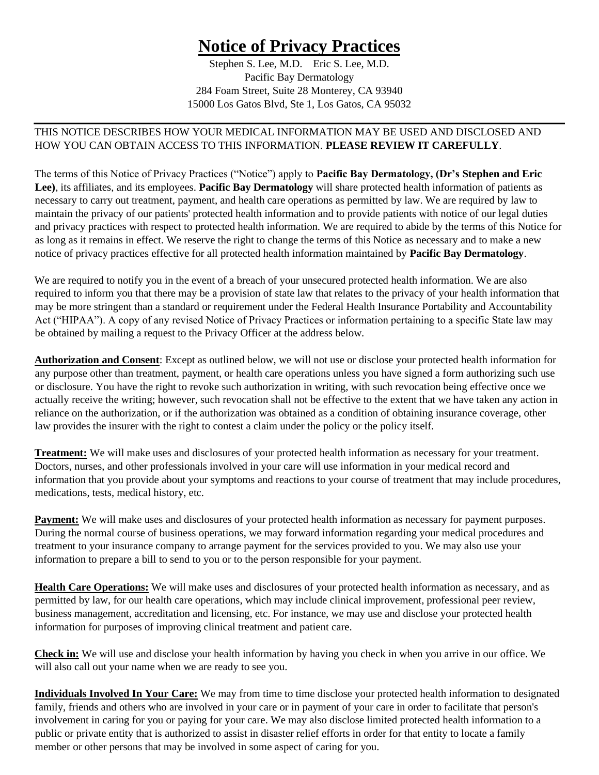## **Notice of Privacy Practices**

Stephen S. Lee, M.D. Eric S. Lee, M.D. Pacific Bay Dermatology 284 Foam Street, Suite 28 Monterey, CA 93940 15000 Los Gatos Blvd, Ste 1, Los Gatos, CA 95032

## THIS NOTICE DESCRIBES HOW YOUR MEDICAL INFORMATION MAY BE USED AND DISCLOSED AND HOW YOU CAN OBTAIN ACCESS TO THIS INFORMATION. **PLEASE REVIEW IT CAREFULLY**.

The terms of this Notice of Privacy Practices ("Notice") apply to **Pacific Bay Dermatology, (Dr's Stephen and Eric Lee)**, its affiliates, and its employees. **Pacific Bay Dermatology** will share protected health information of patients as necessary to carry out treatment, payment, and health care operations as permitted by law. We are required by law to maintain the privacy of our patients' protected health information and to provide patients with notice of our legal duties and privacy practices with respect to protected health information. We are required to abide by the terms of this Notice for as long as it remains in effect. We reserve the right to change the terms of this Notice as necessary and to make a new notice of privacy practices effective for all protected health information maintained by **Pacific Bay Dermatology**.

We are required to notify you in the event of a breach of your unsecured protected health information. We are also required to inform you that there may be a provision of state law that relates to the privacy of your health information that may be more stringent than a standard or requirement under the Federal Health Insurance Portability and Accountability Act ("HIPAA"). A copy of any revised Notice of Privacy Practices or information pertaining to a specific State law may be obtained by mailing a request to the Privacy Officer at the address below.

**Authorization and Consent**: Except as outlined below, we will not use or disclose your protected health information for any purpose other than treatment, payment, or health care operations unless you have signed a form authorizing such use or disclosure. You have the right to revoke such authorization in writing, with such revocation being effective once we actually receive the writing; however, such revocation shall not be effective to the extent that we have taken any action in reliance on the authorization, or if the authorization was obtained as a condition of obtaining insurance coverage, other law provides the insurer with the right to contest a claim under the policy or the policy itself.

**Treatment:** We will make uses and disclosures of your protected health information as necessary for your treatment. Doctors, nurses, and other professionals involved in your care will use information in your medical record and information that you provide about your symptoms and reactions to your course of treatment that may include procedures, medications, tests, medical history, etc.

**Payment:** We will make uses and disclosures of your protected health information as necessary for payment purposes. During the normal course of business operations, we may forward information regarding your medical procedures and treatment to your insurance company to arrange payment for the services provided to you. We may also use your information to prepare a bill to send to you or to the person responsible for your payment.

**Health Care Operations:** We will make uses and disclosures of your protected health information as necessary, and as permitted by law, for our health care operations, which may include clinical improvement, professional peer review, business management, accreditation and licensing, etc. For instance, we may use and disclose your protected health information for purposes of improving clinical treatment and patient care.

**Check in:** We will use and disclose your health information by having you check in when you arrive in our office. We will also call out your name when we are ready to see you.

**Individuals Involved In Your Care:** We may from time to time disclose your protected health information to designated family, friends and others who are involved in your care or in payment of your care in order to facilitate that person's involvement in caring for you or paying for your care. We may also disclose limited protected health information to a public or private entity that is authorized to assist in disaster relief efforts in order for that entity to locate a family member or other persons that may be involved in some aspect of caring for you.